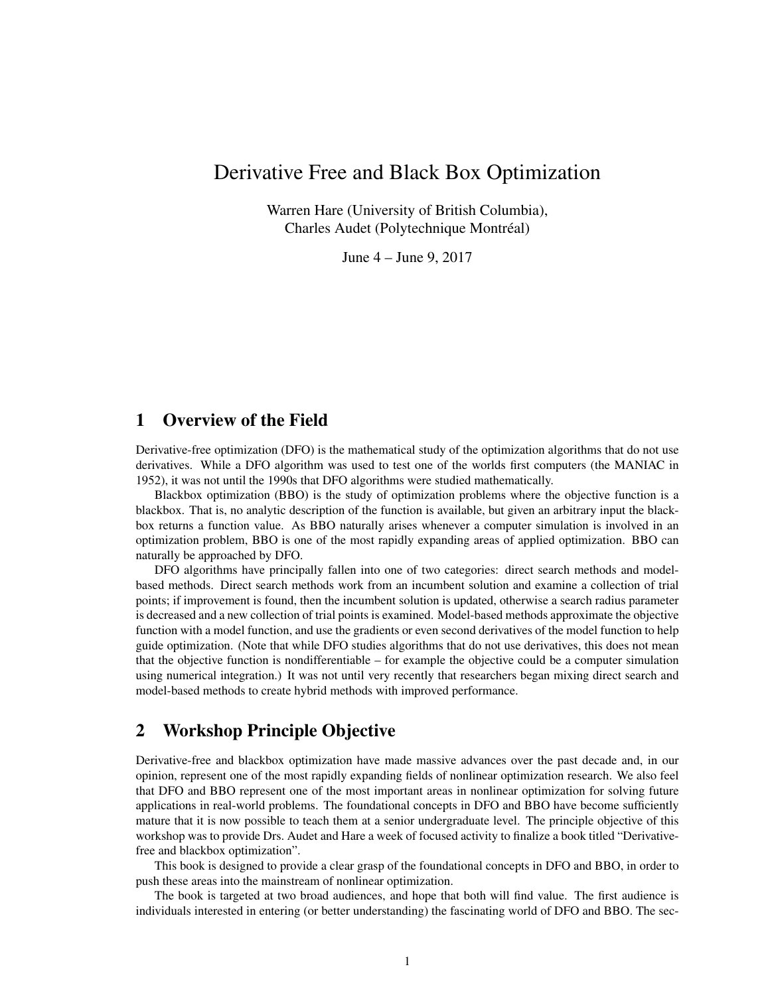# Derivative Free and Black Box Optimization

Warren Hare (University of British Columbia), Charles Audet (Polytechnique Montréal)

June 4 – June 9, 2017

## 1 Overview of the Field

Derivative-free optimization (DFO) is the mathematical study of the optimization algorithms that do not use derivatives. While a DFO algorithm was used to test one of the worlds first computers (the MANIAC in 1952), it was not until the 1990s that DFO algorithms were studied mathematically.

Blackbox optimization (BBO) is the study of optimization problems where the objective function is a blackbox. That is, no analytic description of the function is available, but given an arbitrary input the blackbox returns a function value. As BBO naturally arises whenever a computer simulation is involved in an optimization problem, BBO is one of the most rapidly expanding areas of applied optimization. BBO can naturally be approached by DFO.

DFO algorithms have principally fallen into one of two categories: direct search methods and modelbased methods. Direct search methods work from an incumbent solution and examine a collection of trial points; if improvement is found, then the incumbent solution is updated, otherwise a search radius parameter is decreased and a new collection of trial points is examined. Model-based methods approximate the objective function with a model function, and use the gradients or even second derivatives of the model function to help guide optimization. (Note that while DFO studies algorithms that do not use derivatives, this does not mean that the objective function is nondifferentiable – for example the objective could be a computer simulation using numerical integration.) It was not until very recently that researchers began mixing direct search and model-based methods to create hybrid methods with improved performance.

### 2 Workshop Principle Objective

Derivative-free and blackbox optimization have made massive advances over the past decade and, in our opinion, represent one of the most rapidly expanding fields of nonlinear optimization research. We also feel that DFO and BBO represent one of the most important areas in nonlinear optimization for solving future applications in real-world problems. The foundational concepts in DFO and BBO have become sufficiently mature that it is now possible to teach them at a senior undergraduate level. The principle objective of this workshop was to provide Drs. Audet and Hare a week of focused activity to finalize a book titled "Derivativefree and blackbox optimization".

This book is designed to provide a clear grasp of the foundational concepts in DFO and BBO, in order to push these areas into the mainstream of nonlinear optimization.

The book is targeted at two broad audiences, and hope that both will find value. The first audience is individuals interested in entering (or better understanding) the fascinating world of DFO and BBO. The sec